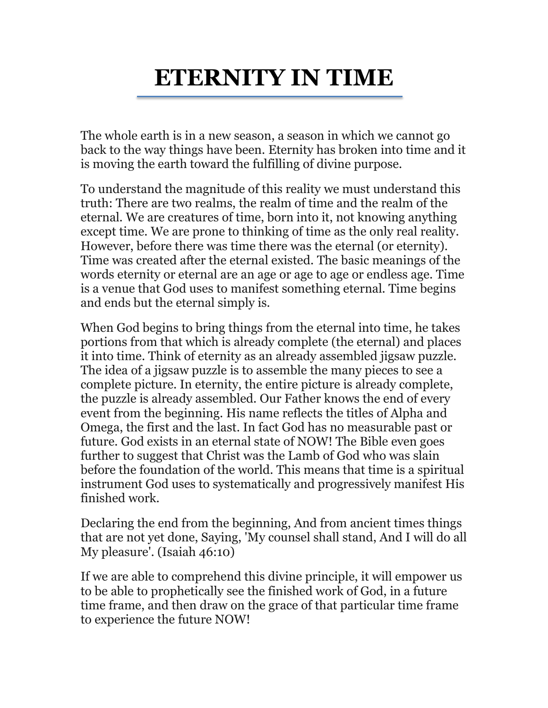## **ETERNITY IN TIME**

The whole earth is in a new season, a season in which we cannot go back to the way things have been. Eternity has broken into time and it is moving the earth toward the fulfilling of divine purpose.

To understand the magnitude of this reality we must understand this truth: There are two realms, the realm of time and the realm of the eternal. We are creatures of time, born into it, not knowing anything except time. We are prone to thinking of time as the only real reality. However, before there was time there was the eternal (or eternity). Time was created after the eternal existed. The basic meanings of the words eternity or eternal are an age or age to age or endless age. Time is a venue that God uses to manifest something eternal. Time begins and ends but the eternal simply is.

When God begins to bring things from the eternal into time, he takes portions from that which is already complete (the eternal) and places it into time. Think of eternity as an already assembled jigsaw puzzle. The idea of a jigsaw puzzle is to assemble the many pieces to see a complete picture. In eternity, the entire picture is already complete, the puzzle is already assembled. Our Father knows the end of every event from the beginning. His name reflects the titles of Alpha and Omega, the first and the last. In fact God has no measurable past or future. God exists in an eternal state of NOW! The Bible even goes further to suggest that Christ was the Lamb of God who was slain before the foundation of the world. This means that time is a spiritual instrument God uses to systematically and progressively manifest His finished work.

Declaring the end from the beginning, And from ancient times things that are not yet done, Saying, 'My counsel shall stand, And I will do all My pleasure'. (Isaiah 46:10)

If we are able to comprehend this divine principle, it will empower us to be able to prophetically see the finished work of God, in a future time frame, and then draw on the grace of that particular time frame to experience the future NOW!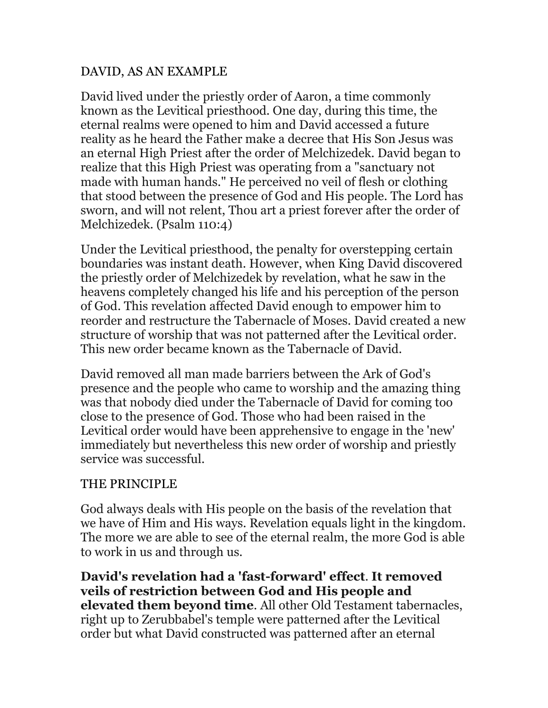## DAVID, AS AN EXAMPLE

David lived under the priestly order of Aaron, a time commonly known as the Levitical priesthood. One day, during this time, the eternal realms were opened to him and David accessed a future reality as he heard the Father make a decree that His Son Jesus was an eternal High Priest after the order of Melchizedek. David began to realize that this High Priest was operating from a "sanctuary not made with human hands." He perceived no veil of flesh or clothing that stood between the presence of God and His people. The Lord has sworn, and will not relent, Thou art a priest forever after the order of Melchizedek. (Psalm 110:4)

Under the Levitical priesthood, the penalty for overstepping certain boundaries was instant death. However, when King David discovered the priestly order of Melchizedek by revelation, what he saw in the heavens completely changed his life and his perception of the person of God. This revelation affected David enough to empower him to reorder and restructure the Tabernacle of Moses. David created a new structure of worship that was not patterned after the Levitical order. This new order became known as the Tabernacle of David.

David removed all man made barriers between the Ark of God's presence and the people who came to worship and the amazing thing was that nobody died under the Tabernacle of David for coming too close to the presence of God. Those who had been raised in the Levitical order would have been apprehensive to engage in the 'new' immediately but nevertheless this new order of worship and priestly service was successful.

## THE PRINCIPLE

God always deals with His people on the basis of the revelation that we have of Him and His ways. Revelation equals light in the kingdom. The more we are able to see of the eternal realm, the more God is able to work in us and through us.

**David's revelation had a 'fast-forward' effect**. **It removed veils of restriction between God and His people and elevated them beyond time**. All other Old Testament tabernacles, right up to Zerubbabel's temple were patterned after the Levitical order but what David constructed was patterned after an eternal